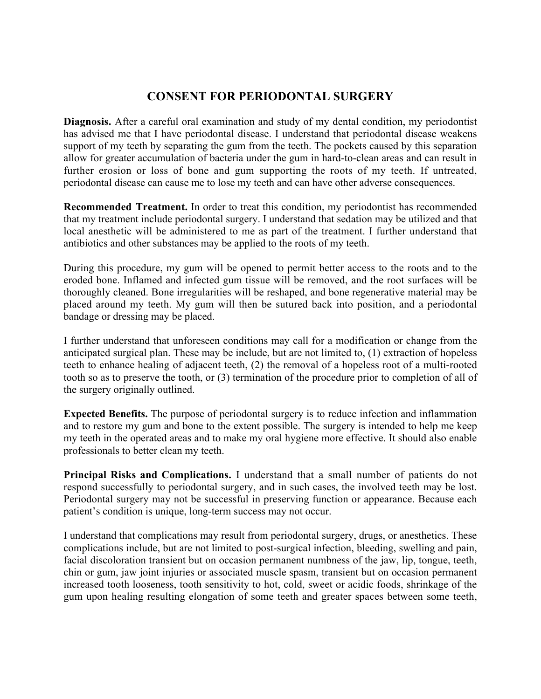## **CONSENT FOR PERIODONTAL SURGERY**

**Diagnosis.** After a careful oral examination and study of my dental condition, my periodontist has advised me that I have periodontal disease. I understand that periodontal disease weakens support of my teeth by separating the gum from the teeth. The pockets caused by this separation allow for greater accumulation of bacteria under the gum in hard-to-clean areas and can result in further erosion or loss of bone and gum supporting the roots of my teeth. If untreated, periodontal disease can cause me to lose my teeth and can have other adverse consequences.

**Recommended Treatment.** In order to treat this condition, my periodontist has recommended that my treatment include periodontal surgery. I understand that sedation may be utilized and that local anesthetic will be administered to me as part of the treatment. I further understand that antibiotics and other substances may be applied to the roots of my teeth.

During this procedure, my gum will be opened to permit better access to the roots and to the eroded bone. Inflamed and infected gum tissue will be removed, and the root surfaces will be thoroughly cleaned. Bone irregularities will be reshaped, and bone regenerative material may be placed around my teeth. My gum will then be sutured back into position, and a periodontal bandage or dressing may be placed.

I further understand that unforeseen conditions may call for a modification or change from the anticipated surgical plan. These may be include, but are not limited to, (1) extraction of hopeless teeth to enhance healing of adjacent teeth, (2) the removal of a hopeless root of a multi-rooted tooth so as to preserve the tooth, or (3) termination of the procedure prior to completion of all of the surgery originally outlined.

**Expected Benefits.** The purpose of periodontal surgery is to reduce infection and inflammation and to restore my gum and bone to the extent possible. The surgery is intended to help me keep my teeth in the operated areas and to make my oral hygiene more effective. It should also enable professionals to better clean my teeth.

**Principal Risks and Complications.** I understand that a small number of patients do not respond successfully to periodontal surgery, and in such cases, the involved teeth may be lost. Periodontal surgery may not be successful in preserving function or appearance. Because each patient's condition is unique, long-term success may not occur.

I understand that complications may result from periodontal surgery, drugs, or anesthetics. These complications include, but are not limited to post-surgical infection, bleeding, swelling and pain, facial discoloration transient but on occasion permanent numbness of the jaw, lip, tongue, teeth, chin or gum, jaw joint injuries or associated muscle spasm, transient but on occasion permanent increased tooth looseness, tooth sensitivity to hot, cold, sweet or acidic foods, shrinkage of the gum upon healing resulting elongation of some teeth and greater spaces between some teeth,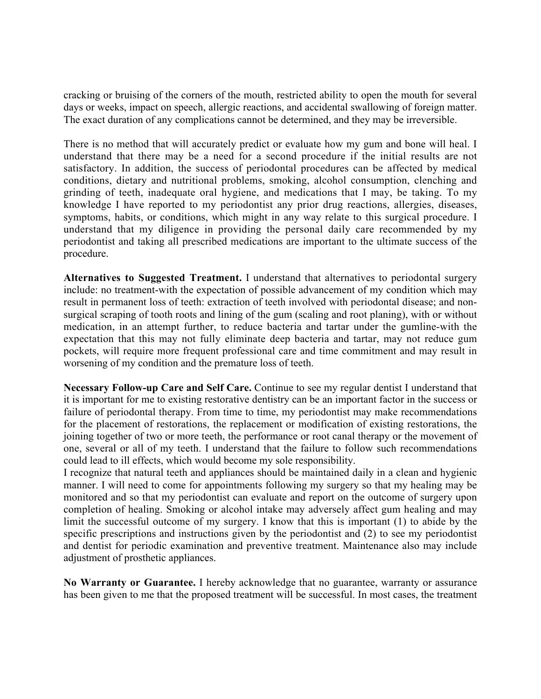cracking or bruising of the corners of the mouth, restricted ability to open the mouth for several days or weeks, impact on speech, allergic reactions, and accidental swallowing of foreign matter. The exact duration of any complications cannot be determined, and they may be irreversible.

There is no method that will accurately predict or evaluate how my gum and bone will heal. I understand that there may be a need for a second procedure if the initial results are not satisfactory. In addition, the success of periodontal procedures can be affected by medical conditions, dietary and nutritional problems, smoking, alcohol consumption, clenching and grinding of teeth, inadequate oral hygiene, and medications that I may, be taking. To my knowledge I have reported to my periodontist any prior drug reactions, allergies, diseases, symptoms, habits, or conditions, which might in any way relate to this surgical procedure. I understand that my diligence in providing the personal daily care recommended by my periodontist and taking all prescribed medications are important to the ultimate success of the procedure.

**Alternatives to Suggested Treatment.** I understand that alternatives to periodontal surgery include: no treatment-with the expectation of possible advancement of my condition which may result in permanent loss of teeth: extraction of teeth involved with periodontal disease; and nonsurgical scraping of tooth roots and lining of the gum (scaling and root planing), with or without medication, in an attempt further, to reduce bacteria and tartar under the gumline-with the expectation that this may not fully eliminate deep bacteria and tartar, may not reduce gum pockets, will require more frequent professional care and time commitment and may result in worsening of my condition and the premature loss of teeth.

**Necessary Follow-up Care and Self Care.** Continue to see my regular dentist I understand that it is important for me to existing restorative dentistry can be an important factor in the success or failure of periodontal therapy. From time to time, my periodontist may make recommendations for the placement of restorations, the replacement or modification of existing restorations, the joining together of two or more teeth, the performance or root canal therapy or the movement of one, several or all of my teeth. I understand that the failure to follow such recommendations could lead to ill effects, which would become my sole responsibility.

I recognize that natural teeth and appliances should be maintained daily in a clean and hygienic manner. I will need to come for appointments following my surgery so that my healing may be monitored and so that my periodontist can evaluate and report on the outcome of surgery upon completion of healing. Smoking or alcohol intake may adversely affect gum healing and may limit the successful outcome of my surgery. I know that this is important (1) to abide by the specific prescriptions and instructions given by the periodontist and (2) to see my periodontist and dentist for periodic examination and preventive treatment. Maintenance also may include adjustment of prosthetic appliances.

**No Warranty or Guarantee.** I hereby acknowledge that no guarantee, warranty or assurance has been given to me that the proposed treatment will be successful. In most cases, the treatment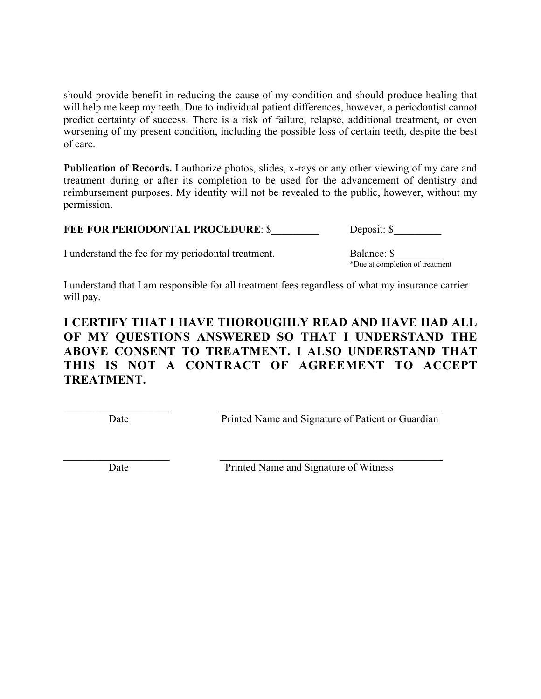should provide benefit in reducing the cause of my condition and should produce healing that will help me keep my teeth. Due to individual patient differences, however, a periodontist cannot predict certainty of success. There is a risk of failure, relapse, additional treatment, or even worsening of my present condition, including the possible loss of certain teeth, despite the best of care.

**Publication of Records.** I authorize photos, slides, x-rays or any other viewing of my care and treatment during or after its completion to be used for the advancement of dentistry and reimbursement purposes. My identity will not be revealed to the public, however, without my permission.

| <b>FEE FOR PERIODONTAL PROCEDURE: \$</b><br>Deposit: \$ |  |
|---------------------------------------------------------|--|
|---------------------------------------------------------|--|

I understand the fee for my periodontal treatment. Balance: \$

\*Due at completion of treatment

I understand that I am responsible for all treatment fees regardless of what my insurance carrier will pay.

## **I CERTIFY THAT I HAVE THOROUGHLY READ AND HAVE HAD ALL OF MY QUESTIONS ANSWERED SO THAT I UNDERSTAND THE ABOVE CONSENT TO TREATMENT. I ALSO UNDERSTAND THAT THIS IS NOT A CONTRACT OF AGREEMENT TO ACCEPT TREATMENT.**

 $\mathcal{L}_\text{max} = \frac{1}{2} \sum_{i=1}^n \mathcal{L}_\text{max}(\mathbf{z}_i - \mathbf{z}_i)$ 

 $\mathcal{L}_\text{max}$  , and the contribution of the contribution of the contribution of the contribution of the contribution of the contribution of the contribution of the contribution of the contribution of the contribution of t

Date Printed Name and Signature of Patient or Guardian

Date Printed Name and Signature of Witness